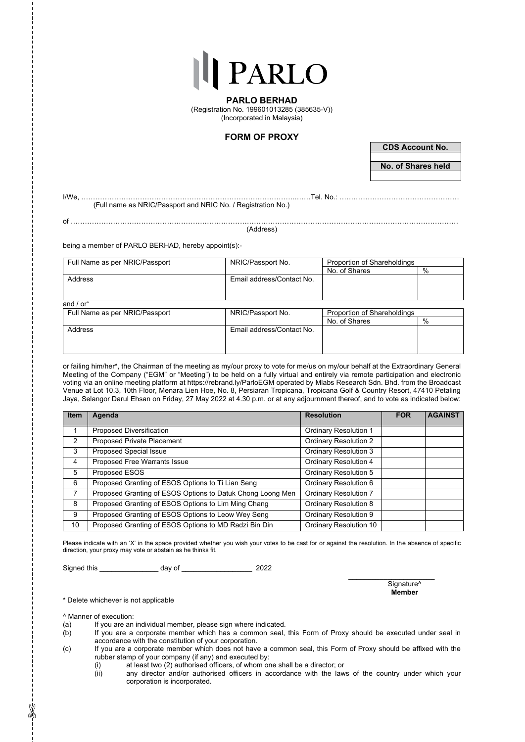**PARLO BERHAD** (Registration No. 199601013285 (385635-V)) (Incorporated in Malaysia)

## **FORM OF PROXY**

**CDS Account No.**

**No. of Shares held**

I/We, ………………………………………………………………………………..……Tel. No.: …………………………………………… (Full name as NRIC/Passport and NRIC No. / Registration No.)

of …………………………………………………………………………………………………………………………………………………

(Address)

being a member of PARLO BERHAD, hereby appoint(s):-

| Full Name as per NRIC/Passport | NRIC/Passport No.         | Proportion of Shareholdings |      |
|--------------------------------|---------------------------|-----------------------------|------|
|                                |                           | No. of Shares               | %    |
| Address                        | Email address/Contact No. |                             |      |
|                                |                           |                             |      |
|                                |                           |                             |      |
| and $/$ or <sup>*</sup>        |                           |                             |      |
| Full Name as per NRIC/Passport | NRIC/Passport No.         | Proportion of Shareholdings |      |
|                                |                           | No. of Shares               | $\%$ |
| Address                        | Email address/Contact No. |                             |      |
|                                |                           |                             |      |

or failing him/her\*, the Chairman of the meeting as my/our proxy to vote for me/us on my/our behalf at the Extraordinary General Meeting of the Company ("EGM" or "Meeting") to be held on a fully virtual and entirely via remote participation and electronic voting via an online meeting platform at https://rebrand.ly/ParloEGM operated by Mlabs Research Sdn. Bhd. from the Broadcast Venue at Lot 10.3, 10th Floor, Menara Lien Hoe, No. 8, Persiaran Tropicana, Tropicana Golf & Country Resort, 47410 Petaling Jaya, Selangor Darul Ehsan on Friday, 27 May 2022 at 4.30 p.m. or at any adjournment thereof, and to vote as indicated below:

| <b>Item</b> | Agenda                                                     | <b>Resolution</b>             | <b>FOR</b> | <b>AGAINST</b> |
|-------------|------------------------------------------------------------|-------------------------------|------------|----------------|
|             | Proposed Diversification                                   | <b>Ordinary Resolution 1</b>  |            |                |
| 2           | Proposed Private Placement                                 | <b>Ordinary Resolution 2</b>  |            |                |
| 3           | Proposed Special Issue                                     | <b>Ordinary Resolution 3</b>  |            |                |
| 4           | Proposed Free Warrants Issue                               | <b>Ordinary Resolution 4</b>  |            |                |
| 5           | Proposed ESOS                                              | <b>Ordinary Resolution 5</b>  |            |                |
| 6           | Proposed Granting of ESOS Options to Ti Lian Seng          | Ordinary Resolution 6         |            |                |
|             | Proposed Granting of ESOS Options to Datuk Chong Loong Men | <b>Ordinary Resolution 7</b>  |            |                |
| 8           | Proposed Granting of ESOS Options to Lim Ming Chang        | Ordinary Resolution 8         |            |                |
| 9           | Proposed Granting of ESOS Options to Leow Wey Seng         | Ordinary Resolution 9         |            |                |
| 10          | Proposed Granting of ESOS Options to MD Radzi Bin Din      | <b>Ordinary Resolution 10</b> |            |                |

Please indicate with an 'X' in the space provided whether you wish your votes to be cast for or against the resolution. In the absence of specific direction, your proxy may vote or abstain as he thinks fit.

Signed this \_\_\_\_\_\_\_\_\_\_\_\_\_\_\_ day of \_\_\_\_\_\_\_\_\_\_\_\_\_\_\_\_\_\_ 2022

 $\overline{\phantom{a}}$  , where  $\overline{\phantom{a}}$  , where  $\overline{\phantom{a}}$  , where  $\overline{\phantom{a}}$ Signature<sup>^</sup> **Member**

\* Delete whichever is not applicable

^ Manner of execution:

- (a) If you are an individual member, please sign where indicated.<br>(b) If you are a corporate member which has a common seal.
- If you are a corporate member which has a common seal, this Form of Proxy should be executed under seal in accordance with the constitution of your corporation.
- (c) If you are a corporate member which does not have a common seal, this Form of Proxy should be affixed with the rubber stamp of your company (if any) and executed by:
	- (i) at least two (2) authorised officers, of whom one shall be a director; or any director and/or authorised officers in accordance with the law
	- any director and/or authorised officers in accordance with the laws of the country under which your corporation is incorporated.